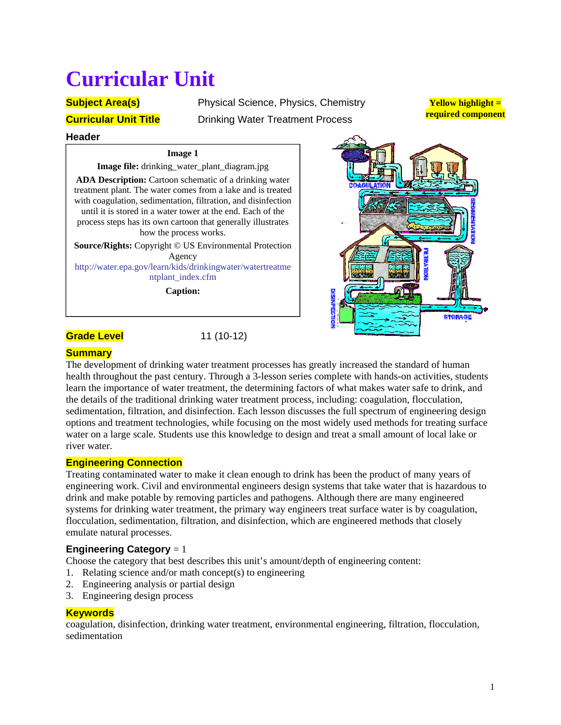# **Curricular Unit**

**Subject Area(s)** Physical Science, Physics, Chemistry **Curricular Unit Title** Drinking Water Treatment Process

**Yellow highlight = required component**

#### **Header**

#### **Image 1**

**Image file:** drinking\_water\_plant\_diagram.jpg **ADA Description:** Cartoon schematic of a drinking water treatment plant. The water comes from a lake and is treated with coagulation, sedimentation, filtration, and disinfection until it is stored in a water tower at the end. Each of the process steps has its own cartoon that generally illustrates how the process works. **Source/Rights:** Copyright © US Environmental Protection Agency

http://water.epa.gov/learn/kids/drinkingwater/watertreatme ntplant\_index.cfm

**Caption:**

## **Grade Level** 11 (10-12)



## **Summary**

The development of drinking water treatment processes has greatly increased the standard of human health throughout the past century. Through a 3-lesson series complete with hands-on activities, students learn the importance of water treatment, the determining factors of what makes water safe to drink, and the details of the traditional drinking water treatment process, including: coagulation, flocculation, sedimentation, filtration, and disinfection. Each lesson discusses the full spectrum of engineering design options and treatment technologies, while focusing on the most widely used methods for treating surface water on a large scale. Students use this knowledge to design and treat a small amount of local lake or river water.

## **Engineering Connection**

Treating contaminated water to make it clean enough to drink has been the product of many years of engineering work. Civil and environmental engineers design systems that take water that is hazardous to drink and make potable by removing particles and pathogens. Although there are many engineered systems for drinking water treatment, the primary way engineers treat surface water is by coagulation, flocculation, sedimentation, filtration, and disinfection, which are engineered methods that closely emulate natural processes.

## **Engineering Category** = 1

Choose the category that best describes this unit's amount/depth of engineering content:

- 1. Relating science and/or math concept(s) to engineering
- 2. Engineering analysis or partial design
- 3. Engineering design process

## **Keywords**

coagulation, disinfection, drinking water treatment, environmental engineering, filtration, flocculation, sedimentation